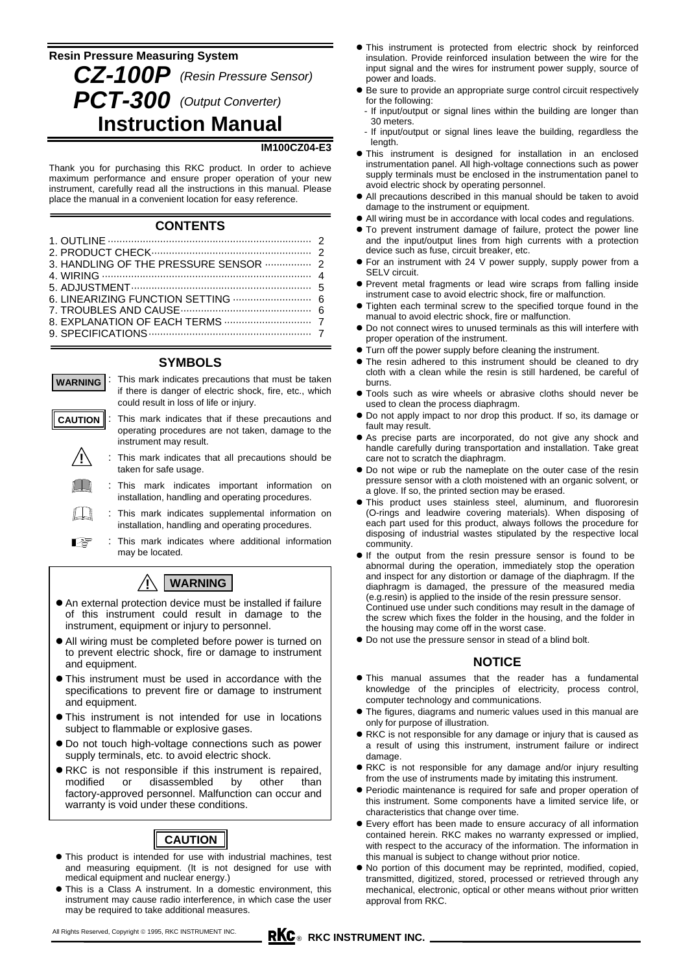# **Resin Pressure Measuring System**  *CZ-100P (Resin Pressure Sensor) PCT-300 (Output Converter)* **Instruction Manual**

### **IM100CZ04-E3**

Thank you for purchasing this RKC product. In order to achieve maximum performance and ensure proper operation of your new instrument, carefully read all the instructions in this manual. Please place the manual in a convenient location for easy reference.

# **CONTENTS**

|--|--|

### **SYMBOLS**

This mark indicates precautions that must be taken **WARNING** if there is danger of electric shock, fire, etc., which could result in loss of life or injury. **CAUTION** This mark indicates that if these precautions and operating procedures are not taken, damage to the instrument may result. **!** This mark indicates that all precautions should be taken for safe usage. : This mark indicates important information on installation, handling and operating procedures. I LI : This mark indicates supplemental information on installation, handling and operating procedures.  $\mathbb{R}$ : This mark indicates where additional information may be located.

# **! WARNING**

- $\bullet$  An external protection device must be installed if failure of this instrument could result in damage to the instrument, equipment or injury to personnel.
- All wiring must be completed before power is turned on to prevent electric shock, fire or damage to instrument and equipment.
- $\bullet$  This instrument must be used in accordance with the specifications to prevent fire or damage to instrument and equipment.
- $\bullet$  This instrument is not intended for use in locations subject to flammable or explosive gases.
- $\bullet$  Do not touch high-voltage connections such as power supply terminals, etc. to avoid electric shock.
- RKC is not responsible if this instrument is repaired, modified or disassembled by other than factory-approved personnel. Malfunction can occur and warranty is void under these conditions.



- $\bullet$  This product is intended for use with industrial machines, test and measuring equipment. (It is not designed for use with medical equipment and nuclear energy.)
- $\bullet$  This is a Class A instrument. In a domestic environment, this instrument may cause radio interference, in which case the user may be required to take additional measures.
- $\bullet$  This instrument is protected from electric shock by reinforced insulation. Provide reinforced insulation between the wire for the input signal and the wires for instrument power supply, source of power and loads.
- $\bullet$  Be sure to provide an appropriate surge control circuit respectively for the following:
	- If input/output or signal lines within the building are longer than 30 meters.
- If input/output or signal lines leave the building, regardless the length.
- $\bullet$  This instrument is designed for installation in an enclosed instrumentation panel. All high-voltage connections such as power supply terminals must be enclosed in the instrumentation panel to avoid electric shock by operating personnel.
- $\bullet$  All precautions described in this manual should be taken to avoid damage to the instrument or equipment.
- $\bullet$  All wiring must be in accordance with local codes and regulations.
- $\bullet$  To prevent instrument damage of failure, protect the power line and the input/output lines from high currents with a protection device such as fuse, circuit breaker, etc.
- For an instrument with 24 V power supply, supply power from a SELV circuit.
- $\bullet$  Prevent metal fragments or lead wire scraps from falling inside instrument case to avoid electric shock, fire or malfunction.
- $\bullet$  Tighten each terminal screw to the specified torque found in the manual to avoid electric shock, fire or malfunction.
- $\bullet$  Do not connect wires to unused terminals as this will interfere with proper operation of the instrument.
- $\bullet$  Turn off the power supply before cleaning the instrument.
- $\bullet$  The resin adhered to this instrument should be cleaned to dry cloth with a clean while the resin is still hardened, be careful of burns.
- $\bullet$  Tools such as wire wheels or abrasive cloths should never be used to clean the process diaphragm.
- $\bullet$  Do not apply impact to nor drop this product. If so, its damage or fault may result.
- $\bullet$  As precise parts are incorporated, do not give any shock and handle carefully during transportation and installation. Take great care not to scratch the diaphragm.
- $\bullet$  Do not wipe or rub the nameplate on the outer case of the resin pressure sensor with a cloth moistened with an organic solvent, or a glove. If so, the printed section may be erased.
- **•** This product uses stainless steel, aluminum, and fluororesin (O-rings and leadwire covering materials). When disposing of each part used for this product, always follows the procedure for disposing of industrial wastes stipulated by the respective local community.
- $\bullet$  If the output from the resin pressure sensor is found to be abnormal during the operation, immediately stop the operation and inspect for any distortion or damage of the diaphragm. If the diaphragm is damaged, the pressure of the measured media (e.g.resin) is applied to the inside of the resin pressure sensor. Continued use under such conditions may result in the damage of the screw which fixes the folder in the housing, and the folder in the housing may come off in the worst case.
- $\bullet$  Do not use the pressure sensor in stead of a blind bolt.

### **NOTICE**

- $\bullet$  This manual assumes that the reader has a fundamental knowledge of the principles of electricity, process control, computer technology and communications.
- $\bullet$  The figures, diagrams and numeric values used in this manual are only for purpose of illustration.
- RKC is not responsible for any damage or injury that is caused as a result of using this instrument, instrument failure or indirect damage.
- RKC is not responsible for any damage and/or injury resulting from the use of instruments made by imitating this instrument.
- Periodic maintenance is required for safe and proper operation of this instrument. Some components have a limited service life, or characteristics that change over time.
- $\bullet$  Every effort has been made to ensure accuracy of all information contained herein. RKC makes no warranty expressed or implied, with respect to the accuracy of the information. The information in this manual is subject to change without prior notice.
- $\bullet$  No portion of this document may be reprinted, modified, copied, transmitted, digitized, stored, processed or retrieved through any mechanical, electronic, optical or other means without prior written approval from RKC.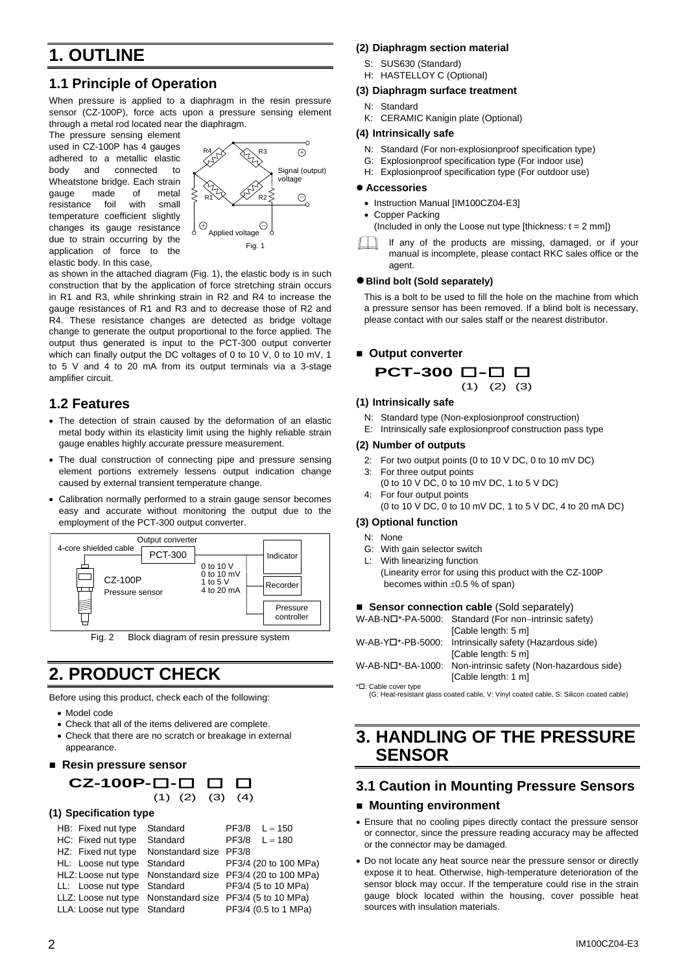# **1. OUTLINE**

# **1.1 Principle of Operation**

When pressure is applied to a diaphragm in the resin pressure sensor (CZ-100P), force acts upon a pressure sensing element through a metal rod located near the diaphragm.

The pressure sensing element used in CZ-100P has 4 gauges adhered to a metallic elastic body and connected to Wheatstone bridge. Each strain gauge made of metal resistance foil with small temperature coefficient slightly changes its gauge resistance due to strain occurring by the application of force to the elastic body. In this case,



as shown in the attached diagram (Fig. 1), the elastic body is in such construction that by the application of force stretching strain occurs in R1 and R3, while shrinking strain in R2 and R4 to increase the gauge resistances of R1 and R3 and to decrease those of R2 and R4. These resistance changes are detected as bridge voltage change to generate the output proportional to the force applied. The output thus generated is input to the PCT-300 output converter which can finally output the DC voltages of 0 to 10 V, 0 to 10 mV, 1 to 5 V and 4 to 20 mA from its output terminals via a 3-stage amplifier circuit.

# **1.2 Features**

- The detection of strain caused by the deformation of an elastic metal body within its elasticity limit using the highly reliable strain gauge enables highly accurate pressure measurement.
- The dual construction of connecting pipe and pressure sensing element portions extremely lessens output indication change caused by external transient temperature change.
- Calibration normally performed to a strain gauge sensor becomes easy and accurate without monitoring the output due to the employment of the PCT-300 output converter.



Fig. 2 Block diagram of resin pressure system

# **2. PRODUCT CHECK**

Before using this product, check each of the following:

- Model code
- Check that all of the items delivered are complete.
- Check that there are no scratch or breakage in external appearance.

#### ■ Resin pressure sensor

# **CZ-100P-**□**-**□ □ □  $(1)$   $(2)$   $(3)$   $(4)$

### **(1) Specification type**

| HB: Fixed nut type                                       | Standard | $PF3/8$ L = 150                                            |
|----------------------------------------------------------|----------|------------------------------------------------------------|
| HC: Fixed nut type Standard                              |          | $PF3/8$ L = 180                                            |
|                                                          |          |                                                            |
| HZ: Fixed nut type Nonstandard size PF3/8                |          |                                                            |
| HL: Loose nut type Standard                              |          | PF3/4 (20 to 100 MPa)                                      |
|                                                          |          | HLZ: Loose nut type Nonstandard size PF3/4 (20 to 100 MPa) |
| LL: Loose nut type Standard                              |          | PF3/4 (5 to 10 MPa)                                        |
| LLZ: Loose nut type Nonstandard size PF3/4 (5 to 10 MPa) |          |                                                            |
| LLA: Loose nut type Standard                             |          | PF3/4 (0.5 to 1 MPa)                                       |

#### **(2) Diaphragm section material**

- S: SUS630 (Standard)
- H: HASTELLOY C (Optional)

#### **(3) Diaphragm surface treatment**

- N: Standard
- K: CERAMIC Kanigin plate (Optional)

#### **(4) Intrinsically safe**

- N: Standard (For non-explosionproof specification type)
- G: Explosionproof specification type (For indoor use)
- H: Explosionproof specification type (For outdoor use)

#### $\bullet$  Accessories

- Instruction Manual [IM100CZ04-E3]
- Copper Packing

(Included in only the Loose nut type [thickness:  $t = 2$  mm])

If any of the products are missing, damaged, or if your manual is incomplete, please contact RKC sales office or the agent.

### $\bullet$  Blind bolt (Sold separately)

This is a bolt to be used to fill the hole on the machine from which a pressure sensor has been removed. If a blind bolt is necessary, please contact with our sales staff or the nearest distributor.

# **Output converter PCT-300** □**-**□ □  $(1)$   $(2)$   $(3)$

### **(1) Intrinsically safe**

- N: Standard type (Non-explosionproof construction)
- E: Intrinsically safe explosionproof construction pass type

#### **(2) Number of outputs**

- 2: For two output points (0 to 10 V DC, 0 to 10 mV DC)
- 3: For three output points
- (0 to 10 V DC, 0 to 10 mV DC, 1 to 5 V DC)
- 4: For four output points (0 to 10 V DC, 0 to 10 mV DC, 1 to 5 V DC, 4 to 20 mA DC)

# **(3) Optional function**

- N: None
- G: With gain selector switch
- L: With linearizing function
	- (Linearity error for using this product with the CZ-100P becomes within  $\pm 0.5$  % of span)

#### ■ **Sensor connection cable** (Sold separately)

|                             | W-AB-N $\square$ *-PA-5000: Standard (For non-intrinsic safety)       |
|-----------------------------|-----------------------------------------------------------------------|
|                             | [Cable length: 5 m]                                                   |
|                             | W-AB-YO <sup>*</sup> -PB-5000: Intrinsically safety (Hazardous side)  |
|                             | [Cable length: 5 m]                                                   |
|                             | W-AB-N $\square$ *-BA-1000: Non-intrinsic safety (Non-hazardous side) |
|                             | [Cable length: 1 m]                                                   |
| * $\Box$ : Cable cover type |                                                                       |
|                             |                                                                       |

(G: Heat-resistant glass coated cable, V: Vinyl coated cable, S: Silicon coated cable)

# **3. HANDLING OF THE PRESSURE SENSOR**

# **3.1 Caution in Mounting Pressure Sensors**

### **Mounting environment**

- Ensure that no cooling pipes directly contact the pressure sensor or connector, since the pressure reading accuracy may be affected or the connector may be damaged.
- Do not locate any heat source near the pressure sensor or directly expose it to heat. Otherwise, high-temperature deterioration of the sensor block may occur. If the temperature could rise in the strain gauge block located within the housing, cover possible heat sources with insulation materials.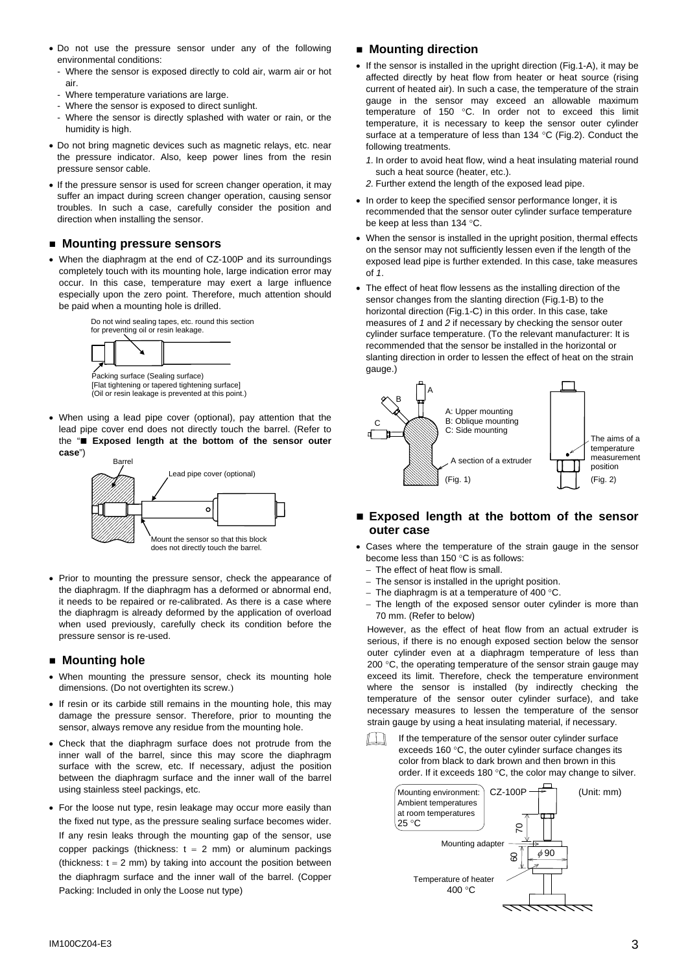- Do not use the pressure sensor under any of the following environmental conditions:
	- Where the sensor is exposed directly to cold air, warm air or hot air.
	- Where temperature variations are large.
	- Where the sensor is exposed to direct sunlight.
	- Where the sensor is directly splashed with water or rain, or the humidity is high.
- Do not bring magnetic devices such as magnetic relays, etc. near the pressure indicator. Also, keep power lines from the resin pressure sensor cable.
- If the pressure sensor is used for screen changer operation, it may suffer an impact during screen changer operation, causing sensor troubles. In such a case, carefully consider the position and direction when installing the sensor.

#### **Mounting pressure sensors**

• When the diaphragm at the end of CZ-100P and its surroundings completely touch with its mounting hole, large indication error may occur. In this case, temperature may exert a large influence especially upon the zero point. Therefore, much attention should be paid when a mounting hole is drilled.



Packing surface (Sealing surface) [Flat tightening or tapered tightening surface] (Oil or resin leakage is prevented at this point.)

• When using a lead pipe cover (optional), pay attention that the lead pipe cover end does not directly touch the barrel. (Refer to the "**Exposed length at the bottom of the sensor outer case**")



• Prior to mounting the pressure sensor, check the appearance of the diaphragm. If the diaphragm has a deformed or abnormal end, it needs to be repaired or re-calibrated. As there is a case where the diaphragm is already deformed by the application of overload when used previously, carefully check its condition before the pressure sensor is re-used.

#### **Mounting hole**

- When mounting the pressure sensor, check its mounting hole dimensions. (Do not overtighten its screw.)
- If resin or its carbide still remains in the mounting hole, this may damage the pressure sensor. Therefore, prior to mounting the sensor, always remove any residue from the mounting hole.
- Check that the diaphragm surface does not protrude from the inner wall of the barrel, since this may score the diaphragm surface with the screw, etc. If necessary, adjust the position between the diaphragm surface and the inner wall of the barrel using stainless steel packings, etc.
- For the loose nut type, resin leakage may occur more easily than the fixed nut type, as the pressure sealing surface becomes wider. If any resin leaks through the mounting gap of the sensor, use copper packings (thickness:  $t = 2$  mm) or aluminum packings (thickness:  $t = 2$  mm) by taking into account the position between the diaphragm surface and the inner wall of the barrel. (Copper Packing: Included in only the Loose nut type)

### **Mounting direction**

- If the sensor is installed in the upright direction (Fig.1-A), it may be affected directly by heat flow from heater or heat source (rising current of heated air). In such a case, the temperature of the strain gauge in the sensor may exceed an allowable maximum temperature of 150 °C. In order not to exceed this limit temperature, it is necessary to keep the sensor outer cylinder surface at a temperature of less than 134 °C (Fig.2). Conduct the following treatments.
	- *1.* In order to avoid heat flow, wind a heat insulating material round such a heat source (heater, etc.).
	- *2.* Further extend the length of the exposed lead pipe.
- In order to keep the specified sensor performance longer, it is recommended that the sensor outer cylinder surface temperature be keep at less than 134 °C.
- When the sensor is installed in the upright position, thermal effects on the sensor may not sufficiently lessen even if the length of the exposed lead pipe is further extended. In this case, take measures of *1*.
- The effect of heat flow lessens as the installing direction of the sensor changes from the slanting direction (Fig.1-B) to the horizontal direction (Fig.1-C) in this order. In this case, take measures of *1* and *2* if necessary by checking the sensor outer cylinder surface temperature. (To the relevant manufacturer: It is recommended that the sensor be installed in the horizontal or slanting direction in order to lessen the effect of heat on the strain gauge.)



- **Exposed length at the bottom of the sensor outer case**
- Cases where the temperature of the strain gauge in the sensor become less than 150 °C is as follows:
	- The effect of heat flow is small.
	- − The sensor is installed in the upright position.
	- − The diaphragm is at a temperature of 400 °C.
	- − The length of the exposed sensor outer cylinder is more than 70 mm. (Refer to below)

However, as the effect of heat flow from an actual extruder is serious, if there is no enough exposed section below the sensor outer cylinder even at a diaphragm temperature of less than 200 °C, the operating temperature of the sensor strain gauge may exceed its limit. Therefore, check the temperature environment where the sensor is installed (by indirectly checking the temperature of the sensor outer cylinder surface), and take necessary measures to lessen the temperature of the sensor strain gauge by using a heat insulating material, if necessary.



If the temperature of the sensor outer cylinder surface exceeds 160 °C, the outer cylinder surface changes its color from black to dark brown and then brown in this order. If it exceeds 180 °C, the color may change to silver.

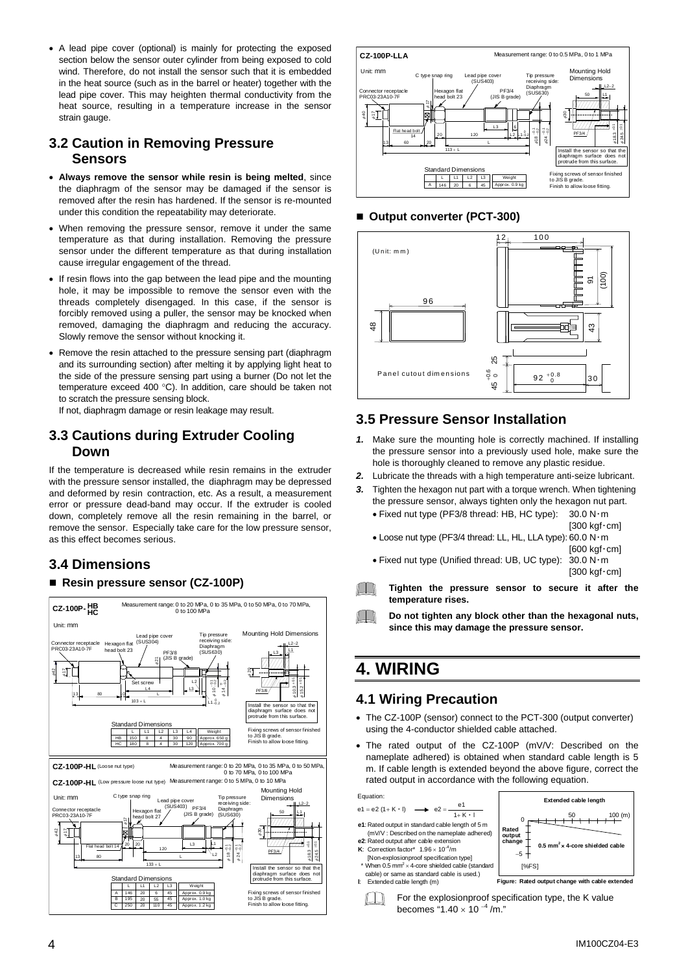• A lead pipe cover (optional) is mainly for protecting the exposed section below the sensor outer cylinder from being exposed to cold wind. Therefore, do not install the sensor such that it is embedded in the heat source (such as in the barrel or heater) together with the lead pipe cover. This may heighten thermal conductivity from the heat source, resulting in a temperature increase in the sensor strain gauge.

# **3.2 Caution in Removing Pressure Sensors**

- **Always remove the sensor while resin is being melted**, since the diaphragm of the sensor may be damaged if the sensor is removed after the resin has hardened. If the sensor is re-mounted under this condition the repeatability may deteriorate.
- When removing the pressure sensor, remove it under the same temperature as that during installation. Removing the pressure sensor under the different temperature as that during installation cause irregular engagement of the thread.
- If resin flows into the gap between the lead pipe and the mounting hole, it may be impossible to remove the sensor even with the threads completely disengaged. In this case, if the sensor is forcibly removed using a puller, the sensor may be knocked when removed, damaging the diaphragm and reducing the accuracy. Slowly remove the sensor without knocking it.
- Remove the resin attached to the pressure sensing part (diaphragm and its surrounding section) after melting it by applying light heat to the side of the pressure sensing part using a burner (Do not let the temperature exceed 400 °C). In addition, care should be taken not to scratch the pressure sensing block.

If not, diaphragm damage or resin leakage may result.

# **3.3 Cautions during Extruder Cooling Down**

If the temperature is decreased while resin remains in the extruder with the pressure sensor installed, the diaphragm may be depressed and deformed by resin contraction, etc. As a result, a measurement error or pressure dead-band may occur. If the extruder is cooled down, completely remove all the resin remaining in the barrel, or remove the sensor. Especially take care for the low pressure sensor, as this effect becomes serious.

# **3.4 Dimensions**

# ■ Resin pressure sensor (CZ-100P)





## ■ Output converter (PCT-300)



# **3.5 Pressure Sensor Installation**

- *1.* Make sure the mounting hole is correctly machined. If installing the pressure sensor into a previously used hole, make sure the hole is thoroughly cleaned to remove any plastic residue.
- *2.* Lubricate the threads with a high temperature anti-seize lubricant.
- *3.* Tighten the hexagon nut part with a torque wrench. When tightening the pressure sensor, always tighten only the hexagon nut part.
	- Fixed nut type (PF3/8 thread: HB, HC type): 30.0 N・m [300 kgf $\cdot$ cm]
	- Loose nut type (PF3/4 thread: LL, HL, LLA type): 60.0 N・m
	- $[600 \text{ kgf} \cdot \text{cm}]$
	- Fixed nut type (Unified thread: UB, UC type): 30.0 N・m [300 kgf・cm]
- **Tighten the pressure sensor to secure it after the**  7 L N **temperature rises.**

**Do not tighten any block other than the hexagonal nuts,**   $\Box$ **since this may damage the pressure sensor.** 

# **4. WIRING**

# **4.1 Wiring Precaution**

- The CZ-100P (sensor) connect to the PCT-300 (output converter) using the 4-conductor shielded cable attached.
- The rated output of the CZ-100P (mV/V: Described on the nameplate adhered) is obtained when standard cable length is 5 m. If cable length is extended beyond the above figure, correct the rated output in accordance with the following equation.

 $\overline{0}$ 

**Rated output** 



When  $0.5$  mm<sup>2</sup> × 4-core shielded cable (standard cable) or same as standard cable is used.) **l**: Extended cable length (m)



**Extended cable length**

**Fe:** Rated output change with cable extended

For the explosionproof specification type, the K value becomes "1.40  $\times$  10<sup>-4</sup> /m."

 $100 (m)$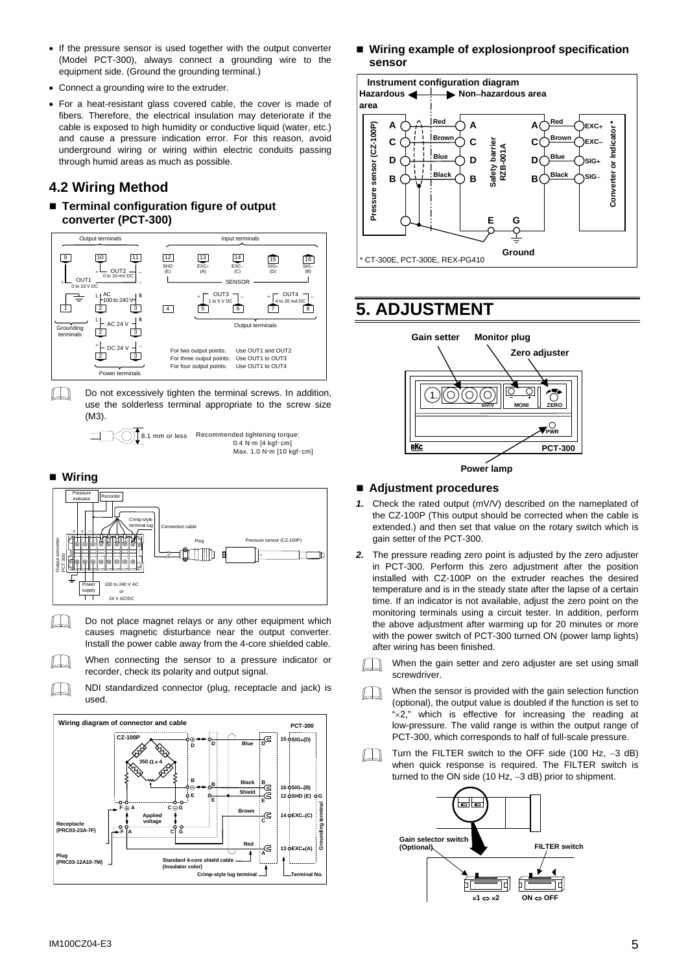- If the pressure sensor is used together with the output converter (Model PCT-300), always connect a grounding wire to the equipment side. (Ground the grounding terminal.)
- Connect a grounding wire to the extruder.
- For a heat-resistant glass covered cable, the cover is made of fibers. Therefore, the electrical insulation may deteriorate if the cable is exposed to high humidity or conductive liquid (water, etc.) and cause a pressure indication error. For this reason, avoid underground wiring or wiring within electric conduits passing through humid areas as much as possible.

# **4.2 Wiring Method**

■ Terminal configuration figure of output **converter (PCT-300)** 



 $\Box$ Do not excessively tighten the terminal screws. In addition, use the solderless terminal appropriate to the screw size (M3).

> **EXALLET SECOLUTE:** 8.1 mm or less Recommended tightening torque:  $0.4 N·m$  [4 kgf $\cdot$ cm] Max. 1.0  $N \cdot m$  [10 kgf $\cdot$ cm]

**Wiring** 



- M Do not place magnet relays or any other equipment which causes magnetic disturbance near the output converter. Install the power cable away from the 4-core shielded cable.
	- When connecting the sensor to a pressure indicator or recorder, check its polarity and output signal.
- $\Box$ NDI standardized connector (plug, receptacle and jack) is used.



 **Wiring example of explosionproof specification sensor** 



# **5. ADJUSTMENT**





## **Adjustment procedures**

- *1.* Check the rated output (mV/V) described on the nameplated of the CZ-100P (This output should be corrected when the cable is extended.) and then set that value on the rotary switch which is gain setter of the PCT-300.
- *2.* The pressure reading zero point is adjusted by the zero adjuster in PCT-300. Perform this zero adjustment after the position installed with CZ-100P on the extruder reaches the desired temperature and is in the steady state after the lapse of a certain time. If an indicator is not available, adjust the zero point on the monitoring terminals using a circuit tester. In addition, perform the above adjustment after warming up for 20 minutes or more with the power switch of PCT-300 turned ON (power lamp lights) after wiring has been finished.



When the gain setter and zero adjuster are set using small screwdriver.

When the sensor is provided with the gain selection function  $\Box$ (optional), the output value is doubled if the function is set to "×2," which is effective for increasing the reading at low-pressure. The valid range is within the output range of PCT-300, which corresponds to half of full-scale pressure.



Turn the FILTER switch to the OFF side (100 Hz, -3 dB) when quick response is required. The FILTER switch is turned to the ON side (10 Hz, -3 dB) prior to shipment.

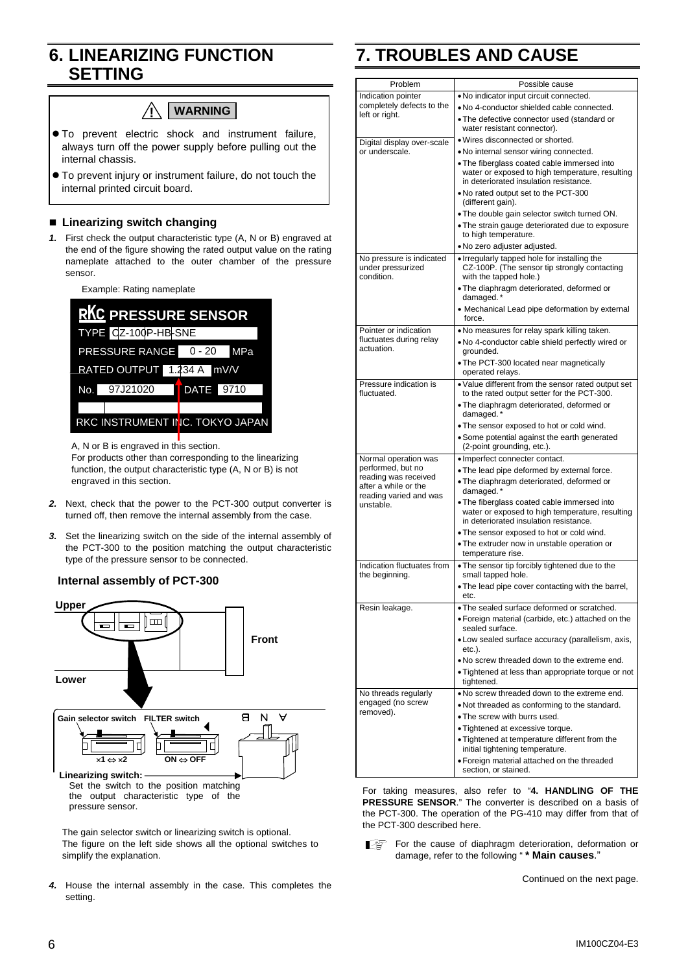# **6. LINEARIZING FUNCTION SETTING**

# **! WARNING**

- $\bullet$  To prevent electric shock and instrument failure, always turn off the power supply before pulling out the internal chassis.
- $\bullet$  To prevent injury or instrument failure, do not touch the internal printed circuit board.

### **Linearizing switch changing**

*1.* First check the output characteristic type (A, N or B) engraved at the end of the figure showing the rated output value on the rating nameplate attached to the outer chamber of the pressure sensor.

Example: Rating nameplate

| <b>RKC PRESSURE SENSOR</b>      |                  |
|---------------------------------|------------------|
| TYPE CZ-100P-HB-SNE             |                  |
| PRESSURE RANGE 0-20             | <b>MPa</b>       |
| RATED OUTPUT 1.234 A mV/V       |                  |
| No. 97J21020                    | <b>DATE</b> 9710 |
|                                 |                  |
| RKC INSTRUMENT INC. TOKYO JAPAN |                  |
|                                 |                  |

A, N or B is engraved in this section.

For products other than corresponding to the linearizing function, the output characteristic type (A, N or B) is not engraved in this section.

- *2.* Next, check that the power to the PCT-300 output converter is turned off, then remove the internal assembly from the case.
- *3.* Set the linearizing switch on the side of the internal assembly of the PCT-300 to the position matching the output characteristic type of the pressure sensor to be connected.

# **Internal assembly of PCT-300**



The gain selector switch or linearizing switch is optional. The figure on the left side shows all the optional switches to simplify the explanation.

*4.* House the internal assembly in the case. This completes the setting.

# **7. TROUBLES AND CAUSE**

| Problem                                                     | Possible cause                                                                                                                           |
|-------------------------------------------------------------|------------------------------------------------------------------------------------------------------------------------------------------|
| Indication pointer                                          | . No indicator input circuit connected.                                                                                                  |
| completely defects to the<br>left or right.                 | . No 4-conductor shielded cable connected.                                                                                               |
|                                                             | . The defective connector used (standard or<br>water resistant connector).                                                               |
| Digital display over-scale                                  | · Wires disconnected or shorted.                                                                                                         |
| or underscale.                                              | . No internal sensor wiring connected.                                                                                                   |
|                                                             | . The fiberglass coated cable immersed into<br>water or exposed to high temperature, resulting<br>in deteriorated insulation resistance. |
|                                                             | . No rated output set to the PCT-300<br>(different gain).                                                                                |
|                                                             | . The double gain selector switch turned ON.                                                                                             |
|                                                             | . The strain gauge deteriorated due to exposure<br>to high temperature.                                                                  |
|                                                             | · No zero adjuster adjusted.                                                                                                             |
| No pressure is indicated<br>under pressurized<br>condition. | • Irregularly tapped hole for installing the<br>CZ-100P. (The sensor tip strongly contacting<br>with the tapped hole.)                   |
|                                                             | . The diaphragm deteriorated, deformed or<br>damaged.*                                                                                   |
|                                                             | • Mechanical Lead pipe deformation by external<br>force.                                                                                 |
| Pointer or indication                                       | . No measures for relay spark killing taken.                                                                                             |
| fluctuates during relay<br>actuation.                       | . No 4-conductor cable shield perfectly wired or<br>grounded.                                                                            |
|                                                             | . The PCT-300 located near magnetically<br>operated relays.                                                                              |
| Pressure indication is<br>fluctuated.                       | . Value different from the sensor rated output set<br>to the rated output setter for the PCT-300.                                        |
|                                                             | . The diaphragm deteriorated, deformed or<br>damaged.*                                                                                   |
|                                                             | • The sensor exposed to hot or cold wind.                                                                                                |
|                                                             | • Some potential against the earth generated<br>(2-point grounding, etc.).                                                               |
| Normal operation was<br>performed, but no                   | · Imperfect connecter contact.                                                                                                           |
| reading was received                                        | • The lead pipe deformed by external force.                                                                                              |
| after a while or the                                        | · The diaphragm deteriorated, deformed or<br>damaged.*                                                                                   |
| reading varied and was<br>unstable.                         | . The fiberglass coated cable immersed into<br>water or exposed to high temperature, resulting<br>in deteriorated insulation resistance. |
|                                                             | . The sensor exposed to hot or cold wind.                                                                                                |
|                                                             | . The extruder now in unstable operation or<br>temperature rise.                                                                         |
| Indication fluctuates from<br>the beginning.                | . The sensor tip forcibly tightened due to the<br>small tapped hole.                                                                     |
|                                                             | . The lead pipe cover contacting with the barrel,<br>etc.                                                                                |
| Resin leakage.                                              | • The sealed surface deformed or scratched.                                                                                              |
|                                                             | • Foreign material (carbide, etc.) attached on the<br>sealed surface.                                                                    |
|                                                             | · Low sealed surface accuracy (parallelism, axis,<br>etc.).                                                                              |
|                                                             | . No screw threaded down to the extreme end.                                                                                             |
|                                                             | . Tightened at less than appropriate torque or not<br>tightened.                                                                         |
| No threads regularly                                        | . No screw threaded down to the extreme end.                                                                                             |
| engaged (no screw<br>removed).                              | . Not threaded as conforming to the standard.<br>• The screw with burrs used.                                                            |
|                                                             | • Tightened at excessive torque.                                                                                                         |
|                                                             | • Tightened at temperature different from the<br>initial tightening temperature.                                                         |
|                                                             | • Foreign material attached on the threaded                                                                                              |
|                                                             | section, or stained.                                                                                                                     |

For taking measures, also refer to "**4. HANDLING OF THE PRESSURE SENSOR**." The converter is described on a basis of the PCT-300. The operation of the PG-410 may differ from that of the PCT-300 described here.

For the cause of diaphragm deterioration, deformation or damage, refer to the following " **\* Main causes**."

Continued on the next page.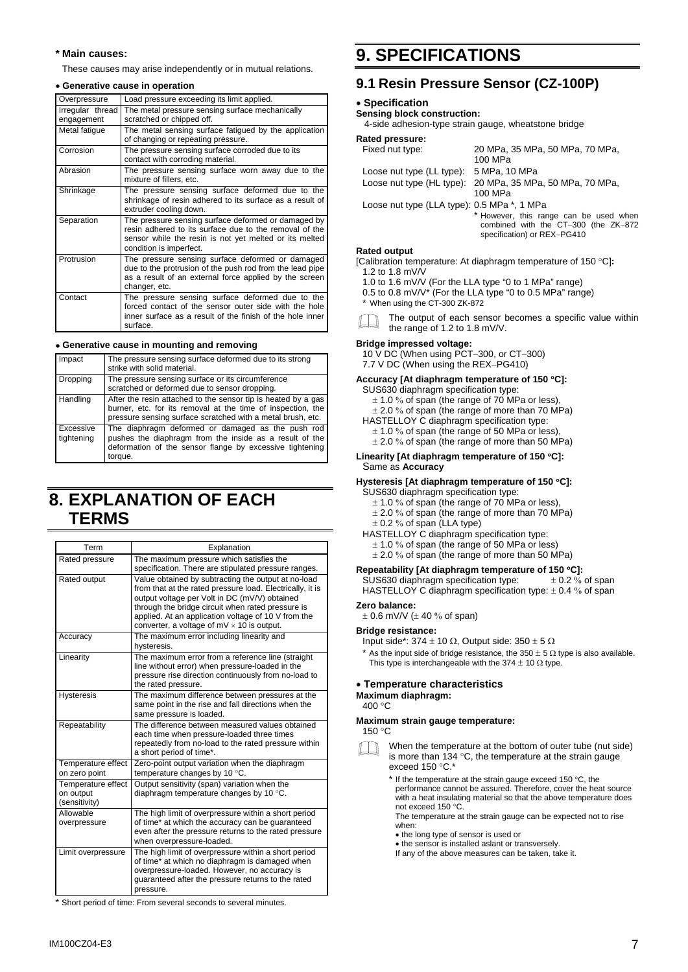#### **\* Main causes:**

These causes may arise independently or in mutual relations.

#### • **Generative cause in operation**

| Overpressure                   | Load pressure exceeding its limit applied.                                                                                                                                                         |
|--------------------------------|----------------------------------------------------------------------------------------------------------------------------------------------------------------------------------------------------|
| Irregular thread<br>engagement | The metal pressure sensing surface mechanically<br>scratched or chipped off.                                                                                                                       |
| Metal fatique                  | The metal sensing surface fatigued by the application<br>of changing or repeating pressure.                                                                                                        |
| Corrosion                      | The pressure sensing surface corroded due to its<br>contact with corroding material.                                                                                                               |
| Abrasion                       | The pressure sensing surface worn away due to the<br>mixture of fillers, etc.                                                                                                                      |
| Shrinkage                      | The pressure sensing surface deformed due to the<br>shrinkage of resin adhered to its surface as a result of<br>extruder cooling down.                                                             |
| Separation                     | The pressure sensing surface deformed or damaged by<br>resin adhered to its surface due to the removal of the<br>sensor while the resin is not yet melted or its melted<br>condition is imperfect. |
| Protrusion                     | The pressure sensing surface deformed or damaged<br>due to the protrusion of the push rod from the lead pipe<br>as a result of an external force applied by the screen<br>changer, etc.            |
| Contact                        | The pressure sensing surface deformed due to the<br>forced contact of the sensor outer side with the hole<br>inner surface as a result of the finish of the hole inner<br>surface.                 |

#### • **Generative cause in mounting and removing**

| Impact                  | The pressure sensing surface deformed due to its strong<br>strike with solid material.                                                                                                      |
|-------------------------|---------------------------------------------------------------------------------------------------------------------------------------------------------------------------------------------|
| Dropping                | The pressure sensing surface or its circumference<br>scratched or deformed due to sensor dropping.                                                                                          |
| Handling                | After the resin attached to the sensor tip is heated by a gas<br>burner, etc. for its removal at the time of inspection, the<br>pressure sensing surface scratched with a metal brush, etc. |
| Excessive<br>tightening | The diaphragm deformed or damaged as the push rod<br>pushes the diaphragm from the inside as a result of the<br>deformation of the sensor flange by excessive tightening<br>torque.         |

# **8. EXPLANATION OF EACH TERMS**

| Term                                             | Explanation                                                                                                                                                                                                                                                                                                                        |
|--------------------------------------------------|------------------------------------------------------------------------------------------------------------------------------------------------------------------------------------------------------------------------------------------------------------------------------------------------------------------------------------|
| Rated pressure                                   | The maximum pressure which satisfies the<br>specification. There are stipulated pressure ranges.                                                                                                                                                                                                                                   |
| Rated output                                     | Value obtained by subtracting the output at no-load<br>from that at the rated pressure load. Electrically, it is<br>output voltage per Volt in DC (mV/V) obtained<br>through the bridge circuit when rated pressure is<br>applied. At an application voltage of 10 V from the<br>converter, a voltage of $mV \times 10$ is output. |
| Accuracy                                         | The maximum error including linearity and<br>hysteresis.                                                                                                                                                                                                                                                                           |
| Linearity                                        | The maximum error from a reference line (straight<br>line without error) when pressure-loaded in the<br>pressure rise direction continuously from no-load to<br>the rated pressure.                                                                                                                                                |
| <b>Hysteresis</b>                                | The maximum difference between pressures at the<br>same point in the rise and fall directions when the<br>same pressure is loaded.                                                                                                                                                                                                 |
| Repeatability                                    | The difference between measured values obtained<br>each time when pressure-loaded three times<br>repeatedly from no-load to the rated pressure within<br>a short period of time*.                                                                                                                                                  |
| Temperature effect<br>on zero point              | Zero-point output variation when the diaphragm<br>temperature changes by 10 °C.                                                                                                                                                                                                                                                    |
| Temperature effect<br>on output<br>(sensitivity) | Output sensitivity (span) variation when the<br>diaphragm temperature changes by 10 °C.                                                                                                                                                                                                                                            |
| Allowable<br>overpressure                        | The high limit of overpressure within a short period<br>of time* at which the accuracy can be quaranteed<br>even after the pressure returns to the rated pressure<br>when overpressure-loaded.                                                                                                                                     |
| Limit overpressure                               | The high limit of overpressure within a short period<br>of time* at which no diaphragm is damaged when<br>overpressure-loaded. However, no accuracy is<br>quaranteed after the pressure returns to the rated<br>pressure.                                                                                                          |

# **9. SPECIFICATIONS**

# **9.1 Resin Pressure Sensor (CZ-100P)**

#### • **Specification**

#### **Sensing block construction:**

4-side adhesion-type strain gauge, wheatstone bridge

### **Rated pressure:**

| Fixed nut type:                             | 20 MPa, 35 MPa, 50 MPa, 70 MPa,                                                                               |
|---------------------------------------------|---------------------------------------------------------------------------------------------------------------|
|                                             | 100 MPa                                                                                                       |
| Loose nut type (LL type):                   | 5 MPa, 10 MPa                                                                                                 |
| Loose nut type (HL type):                   | 20 MPa, 35 MPa, 50 MPa, 70 MPa,<br>100 MPa                                                                    |
| Loose nut type (LLA type): 0.5 MPa *, 1 MPa |                                                                                                               |
|                                             | * However, this range can be used when<br>combined with the CT-300 (the ZK-872<br>specification) or REX-PG410 |
| <b>Rated output</b>                         |                                                                                                               |

[Calibration temperature: At diaphragm temperature of 150 °C]**:**  1.2 to 1.8 mV/V

- 1.0 to 1.6 mV/V (For the LLA type "0 to 1 MPa" range)
- 0.5 to 0.8 mV/V\* (For the LLA type "0 to 0.5 MPa" range)

When using the CT-300 ZK-872

The output of each sensor becomes a specific value within the range of 1.2 to 1.8 mV/V.

#### **Bridge impressed voltage:**

10 V DC (When using PCT−300, or CT−300) 7.7 V DC (When using the REX-PG410)

#### **Accuracy [At diaphragm temperature of 150** °**C]:**  SUS630 diaphragm specification type:

- $± 1.0 %$  of span (the range of 70 MPa or less)
- 
- $± 2.0 %$  of span (the range of more than 70 MPa)
- HASTELLOY C diaphragm specification type:
	- $\pm$  1.0 % of span (the range of 50 MPa or less)
	- $\pm$  2.0 % of span (the range of more than 50 MPa)

#### **Linearity [At diaphragm temperature of 150** °**C]:**  Same as **Accuracy**

#### **Hysteresis [At diaphragm temperature of 150** °**C]:**

- SUS630 diaphragm specification type:
	- $± 1.0 %$  of span (the range of 70 MPa or less),
	- $± 2.0 %$  of span (the range of more than 70 MPa)
- $\pm$  0.2 % of span (LLA type)
- HASTELLOY C diaphragm specification type:
	- ± 1.0 % of span (the range of 50 MPa or less)
	- $± 2.0 %$  of span (the range of more than 50 MPa)

**Repeatability [At diaphragm temperature of 150 °C]:**<br>SUS630 diaphragm specification type:  $\pm 0.2$  % of span SUS630 diaphragm specification type: HASTELLOY C diaphragm specification type:  $\pm$  0.4 % of span

#### **Zero balance:**

 $\pm$  0.6 mV/V ( $\pm$  40 % of span)

#### **Bridge resistance:**

- Input side\*: 374  $\pm$  10 Ω, Output side: 350  $\pm$  5 Ω
- \* As the input side of bridge resistance, the 350  $\pm$  5  $\Omega$  type is also available. This type is interchangeable with the 374  $\pm$  10  $\Omega$  type.

#### • **Temperature characteristics**

**Maximum diaphragm:**  400 °C

**Maximum strain gauge temperature:** 



When the temperature at the bottom of outer tube (nut side) is more than 134 °C, the temperature at the strain gauge exceed 150 °C.\*

\* If the temperature at the strain gauge exceed 150 °C, the performance cannot be assured. Therefore, cover the heat source with a heat insulating material so that the above temperature does not exceed 150 °C.

The temperature at the strain gauge can be expected not to rise when:

- the long type of sensor is used or
- the sensor is installed aslant or transversely.
- If any of the above measures can be taken, take it.

\* Short period of time: From several seconds to several minutes.